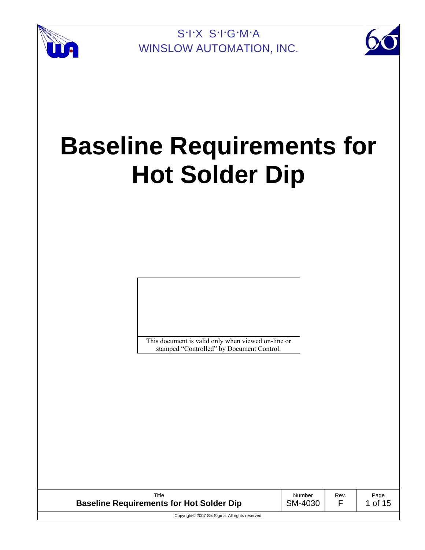



# **Baseline Requirements for Hot Solder Dip**

This document is valid only when viewed on-line or stamped "Controlled" by Document Control.

| Title                                           | Number  | Rev. | Page  |
|-------------------------------------------------|---------|------|-------|
| <b>Baseline Requirements for Hot Solder Dip</b> | SM-4030 |      | of 15 |
| Copyright© 2007 Six Sigma. All rights reserved. |         |      |       |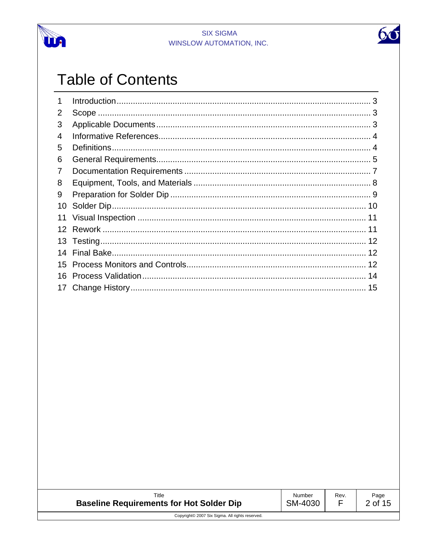



# **Table of Contents**

| 1  |  |
|----|--|
| 2  |  |
| 3  |  |
| 4  |  |
| 5  |  |
| 6  |  |
| 7  |  |
| 8  |  |
| 9  |  |
| 10 |  |
| 11 |  |
| 12 |  |
| 13 |  |
| 14 |  |
| 15 |  |
| 16 |  |
|    |  |

| Title                                           | Number  | Rev. | Page    |
|-------------------------------------------------|---------|------|---------|
| <b>Baseline Requirements for Hot Solder Dip</b> | SM-4030 |      | 2 of 15 |
| Copyright© 2007 Six Sigma. All rights reserved. |         |      |         |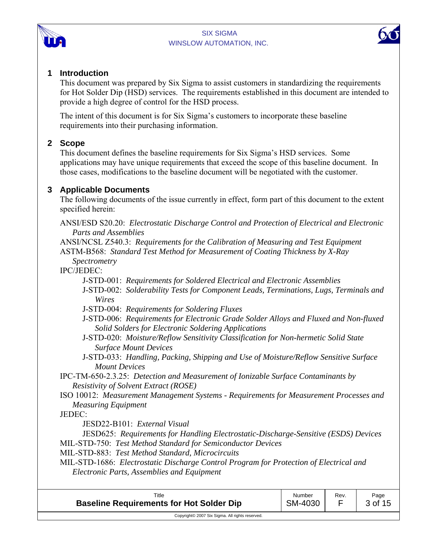



#### **1 Introduction**

This document was prepared by Six Sigma to assist customers in standardizing the requirements for Hot Solder Dip (HSD) services. The requirements established in this document are intended to provide a high degree of control for the HSD process.

The intent of this document is for Six Sigma's customers to incorporate these baseline requirements into their purchasing information.

# **2 Scope**

This document defines the baseline requirements for Six Sigma's HSD services. Some applications may have unique requirements that exceed the scope of this baseline document. In those cases, modifications to the baseline document will be negotiated with the customer.

# **3 Applicable Documents**

The following documents of the issue currently in effect, form part of this document to the extent specified herein:

ANSI/ESD S20.20: *Electrostatic Discharge Control and Protection of Electrical and Electronic Parts and Assemblies*

ANSI/NCSL Z540.3: *Requirements for the Calibration of Measuring and Test Equipment*  ASTM-B568: *Standard Test Method for Measurement of Coating Thickness by X-Ray* 

*Spectrometry* 

IPC/JEDEC:

- J-STD-001: *Requirements for Soldered Electrical and Electronic Assemblies*
- J-STD-002: *Solderability Tests for Component Leads, Terminations, Lugs, Terminals and Wires*
- J-STD-004: *Requirements for Soldering Fluxes*
- J-STD-006: *Requirements for Electronic Grade Solder Alloys and Fluxed and Non-fluxed Solid Solders for Electronic Soldering Applications*
- J-STD-020: *Moisture/Reflow Sensitivity Classification for Non-hermetic Solid State Surface Mount Devices*
- J-STD-033: *Handling, Packing, Shipping and Use of Moisture/Reflow Sensitive Surface Mount Devices*

IPC-TM-650-2.3.25: *Detection and Measurement of Ionizable Surface Contaminants by Resistivity of Solvent Extract (ROSE)*

ISO 10012: *Measurement Management Systems - Requirements for Measurement Processes and Measuring Equipment*

JEDEC:

JESD22-B101: *External Visual*

JESD625: *Requirements for Handling Electrostatic-Discharge-Sensitive (ESDS) Devices* MIL-STD-750: *Test Method Standard for Semiconductor Devices* 

MIL-STD-883: *Test Method Standard, Microcircuits* 

MIL-STD-1686: *Electrostatic Discharge Control Program for Protection of Electrical and Electronic Parts, Assemblies and Equipment* 

| Title                                           | Number  | Rev. | Page    |
|-------------------------------------------------|---------|------|---------|
| <b>Baseline Requirements for Hot Solder Dip</b> | SM-4030 |      | 3 of 15 |
| Copyright© 2007 Six Sigma. All rights reserved. |         |      |         |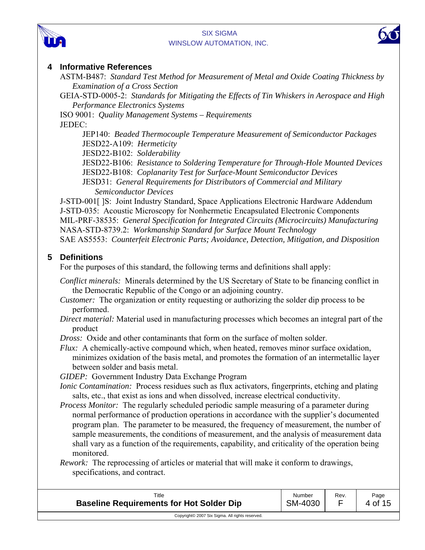



# **4 Informative References**

ASTM-B487: *Standard Test Method for Measurement of Metal and Oxide Coating Thickness by Examination of a Cross Section*

GEIA-STD-0005-2: *Standards for Mitigating the Effects of Tin Whiskers in Aerospace and High Performance Electronics Systems* 

ISO 9001: *Quality Management Systems – Requirements*  JEDEC:

> JEP140: *Beaded Thermocouple Temperature Measurement of Semiconductor Packages* JESD22-A109: *Hermeticity*

JESD22-B102: *Solderability*

JESD22-B106: *Resistance to Soldering Temperature for Through-Hole Mounted Devices*  JESD22-B108: *Coplanarity Test for Surface-Mount Semiconductor Devices*  JESD31: *General Requirements for Distributors of Commercial and Military* 

*Semiconductor Devices* 

J-STD-001[ ]S: Joint Industry Standard, Space Applications Electronic Hardware Addendum J-STD-035: Acoustic Microscopy for Nonhermetic Encapsulated Electronic Components MIL-PRF-38535: *General Specification for Integrated Circuits (Microcircuits) Manufacturing* NASA-STD-8739.2: *Workmanship Standard for Surface Mount Technology*  SAE AS5553: *Counterfeit Electronic Parts; Avoidance, Detection, Mitigation, and Disposition* 

# **5 Definitions**

For the purposes of this standard, the following terms and definitions shall apply:

*Conflict minerals:* Minerals determined by the US Secretary of State to be financing conflict in the Democratic Republic of the Congo or an adjoining country.

- *Customer:* The organization or entity requesting or authorizing the solder dip process to be performed.
- *Direct material:* Material used in manufacturing processes which becomes an integral part of the product

*Dross:* Oxide and other contaminants that form on the surface of molten solder.

*Flux:* A chemically-active compound which, when heated, removes minor surface oxidation, minimizes oxidation of the basis metal, and promotes the formation of an intermetallic layer between solder and basis metal.

*GIDEP:* Government Industry Data Exchange Program

- *Ionic Contamination:* Process residues such as flux activators, fingerprints, etching and plating salts, etc., that exist as ions and when dissolved, increase electrical conductivity.
- *Process Monitor:* The regularly scheduled periodic sample measuring of a parameter during normal performance of production operations in accordance with the supplier's documented program plan. The parameter to be measured, the frequency of measurement, the number of sample measurements, the conditions of measurement, and the analysis of measurement data shall vary as a function of the requirements, capability, and criticality of the operation being monitored.

*Rework:* The reprocessing of articles or material that will make it conform to drawings, specifications, and contract.

| Title                                           | Number  | Rev. | Page    |
|-------------------------------------------------|---------|------|---------|
| <b>Baseline Requirements for Hot Solder Dip</b> | SM-4030 | _    | 4 of 15 |
| Copyright© 2007 Six Sigma. All rights reserved. |         |      |         |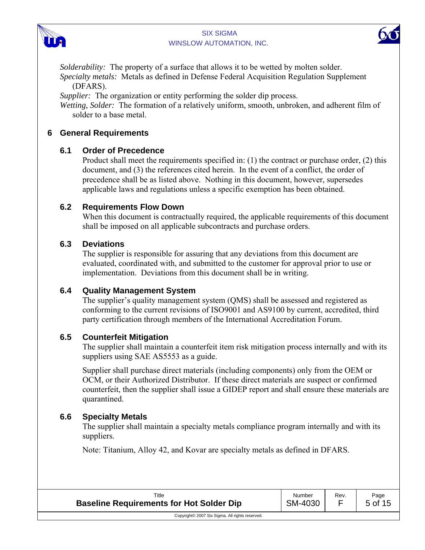



*Solderability:* The property of a surface that allows it to be wetted by molten solder. *Specialty metals:* Metals as defined in Defense Federal Acquisition Regulation Supplement (DFARS).

*Supplier:* The organization or entity performing the solder dip process.

*Wetting, Solder:* The formation of a relatively uniform, smooth, unbroken, and adherent film of solder to a base metal.

# **6 General Requirements**

# **6.1 Order of Precedence**

Product shall meet the requirements specified in: (1) the contract or purchase order, (2) this document, and (3) the references cited herein. In the event of a conflict, the order of precedence shall be as listed above. Nothing in this document, however, supersedes applicable laws and regulations unless a specific exemption has been obtained.

# **6.2 Requirements Flow Down**

When this document is contractually required, the applicable requirements of this document shall be imposed on all applicable subcontracts and purchase orders.

# **6.3 Deviations**

The supplier is responsible for assuring that any deviations from this document are evaluated, coordinated with, and submitted to the customer for approval prior to use or implementation. Deviations from this document shall be in writing.

# **6.4 Quality Management System**

The supplier's quality management system (QMS) shall be assessed and registered as conforming to the current revisions of ISO9001 and AS9100 by current, accredited, third party certification through members of the International Accreditation Forum.

# **6.5 Counterfeit Mitigation**

The supplier shall maintain a counterfeit item risk mitigation process internally and with its suppliers using SAE AS5553 as a guide.

Supplier shall purchase direct materials (including components) only from the OEM or OCM, or their Authorized Distributor. If these direct materials are suspect or confirmed counterfeit, then the supplier shall issue a GIDEP report and shall ensure these materials are quarantined.

# **6.6 Specialty Metals**

The supplier shall maintain a specialty metals compliance program internally and with its suppliers.

Note: Titanium, Alloy 42, and Kovar are specialty metals as defined in DFARS.

| Title                                           | Number  | Rev.<br>_ | Page    |
|-------------------------------------------------|---------|-----------|---------|
| <b>Baseline Requirements for Hot Solder Dip</b> | SM-4030 |           | 5 of 15 |
| Copyright© 2007 Six Sigma. All rights reserved. |         |           |         |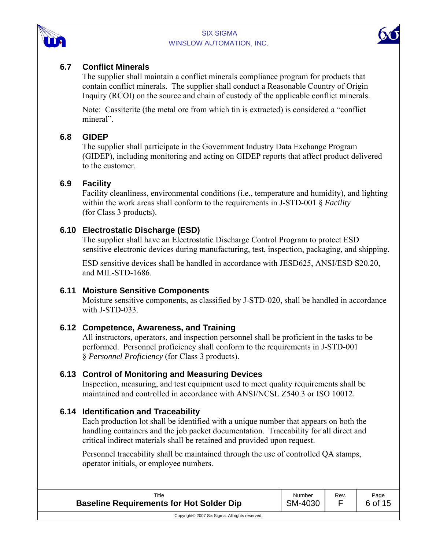



# **6.7 Conflict Minerals**

The supplier shall maintain a conflict minerals compliance program for products that contain conflict minerals. The supplier shall conduct a Reasonable Country of Origin Inquiry (RCOI) on the source and chain of custody of the applicable conflict minerals.

Note: Cassiterite (the metal ore from which tin is extracted) is considered a "conflict mineral".

# **6.8 GIDEP**

The supplier shall participate in the Government Industry Data Exchange Program (GIDEP), including monitoring and acting on GIDEP reports that affect product delivered to the customer.

#### **6.9 Facility**

Facility cleanliness, environmental conditions (i.e., temperature and humidity), and lighting within the work areas shall conform to the requirements in J-STD-001 § *Facility* (for Class 3 products).

#### **6.10 Electrostatic Discharge (ESD)**

The supplier shall have an Electrostatic Discharge Control Program to protect ESD sensitive electronic devices during manufacturing, test, inspection, packaging, and shipping.

ESD sensitive devices shall be handled in accordance with JESD625, ANSI/ESD S20.20, and MIL-STD-1686.

# **6.11 Moisture Sensitive Components**

Moisture sensitive components, as classified by J-STD-020, shall be handled in accordance with J-STD-033.

# **6.12 Competence, Awareness, and Training**

All instructors, operators, and inspection personnel shall be proficient in the tasks to be performed. Personnel proficiency shall conform to the requirements in J-STD-001 § *Personnel Proficiency* (for Class 3 products).

#### **6.13 Control of Monitoring and Measuring Devices**

Inspection, measuring, and test equipment used to meet quality requirements shall be maintained and controlled in accordance with ANSI/NCSL Z540.3 or ISO 10012.

# **6.14 Identification and Traceability**

Each production lot shall be identified with a unique number that appears on both the handling containers and the job packet documentation. Traceability for all direct and critical indirect materials shall be retained and provided upon request.

Personnel traceability shall be maintained through the use of controlled QA stamps, operator initials, or employee numbers.

| Title                                           | Number  | Rev. | Page    |
|-------------------------------------------------|---------|------|---------|
| <b>Baseline Requirements for Hot Solder Dip</b> | SM-4030 |      | 6 of 15 |
| Copyright© 2007 Six Sigma. All rights reserved. |         |      |         |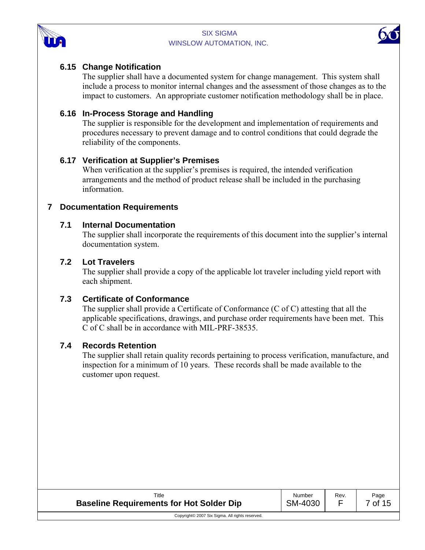



#### **6.15 Change Notification**

The supplier shall have a documented system for change management. This system shall include a process to monitor internal changes and the assessment of those changes as to the impact to customers. An appropriate customer notification methodology shall be in place.

#### **6.16 In-Process Storage and Handling**

The supplier is responsible for the development and implementation of requirements and procedures necessary to prevent damage and to control conditions that could degrade the reliability of the components.

#### **6.17 Verification at Supplier's Premises**

When verification at the supplier's premises is required, the intended verification arrangements and the method of product release shall be included in the purchasing information.

#### **7 Documentation Requirements**

#### **7.1 Internal Documentation**

The supplier shall incorporate the requirements of this document into the supplier's internal documentation system.

#### **7.2 Lot Travelers**

The supplier shall provide a copy of the applicable lot traveler including yield report with each shipment.

#### **7.3 Certificate of Conformance**

The supplier shall provide a Certificate of Conformance (C of C) attesting that all the applicable specifications, drawings, and purchase order requirements have been met. This C of C shall be in accordance with MIL-PRF-38535.

#### **7.4 Records Retention**

The supplier shall retain quality records pertaining to process verification, manufacture, and inspection for a minimum of 10 years. These records shall be made available to the customer upon request.

| Title<br><b>Baseline Requirements for Hot Solder Dip</b> | Number<br>SM-4030 | Rev. | Page<br>of 15 |
|----------------------------------------------------------|-------------------|------|---------------|
| Copyright© 2007 Six Sigma. All rights reserved.          |                   |      |               |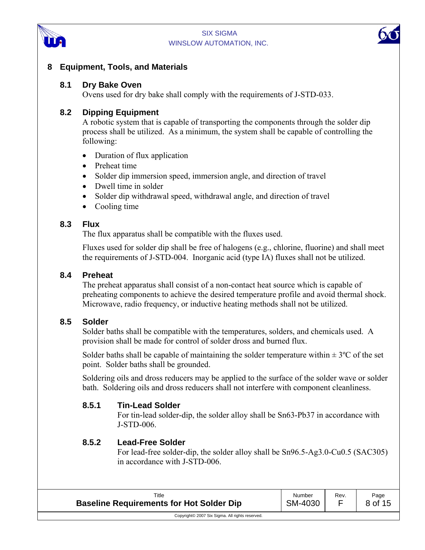





#### **8 Equipment, Tools, and Materials**

#### **8.1 Dry Bake Oven**

Ovens used for dry bake shall comply with the requirements of J-STD-033.

#### **8.2 Dipping Equipment**

A robotic system that is capable of transporting the components through the solder dip process shall be utilized. As a minimum, the system shall be capable of controlling the following:

- Duration of flux application
- Preheat time
- Solder dip immersion speed, immersion angle, and direction of travel
- Dwell time in solder
- Solder dip withdrawal speed, withdrawal angle, and direction of travel
- Cooling time

#### **8.3 Flux**

The flux apparatus shall be compatible with the fluxes used.

Fluxes used for solder dip shall be free of halogens (e.g., chlorine, fluorine) and shall meet the requirements of J-STD-004. Inorganic acid (type IA) fluxes shall not be utilized.

#### **8.4 Preheat**

The preheat apparatus shall consist of a non-contact heat source which is capable of preheating components to achieve the desired temperature profile and avoid thermal shock. Microwave, radio frequency, or inductive heating methods shall not be utilized.

#### **8.5 Solder**

Solder baths shall be compatible with the temperatures, solders, and chemicals used. A provision shall be made for control of solder dross and burned flux.

Solder baths shall be capable of maintaining the solder temperature within  $\pm 3^{\circ}$ C of the set point. Solder baths shall be grounded.

Soldering oils and dross reducers may be applied to the surface of the solder wave or solder bath. Soldering oils and dross reducers shall not interfere with component cleanliness.

#### **8.5.1 Tin-Lead Solder**

For tin-lead solder-dip, the solder alloy shall be Sn63-Pb37 in accordance with J-STD-006.

#### **8.5.2 Lead-Free Solder**

For lead-free solder-dip, the solder alloy shall be Sn96.5-Ag3.0-Cu0.5 (SAC305) in accordance with J-STD-006.

| Title                                           | Number  | Rev. | Page    |
|-------------------------------------------------|---------|------|---------|
| <b>Baseline Requirements for Hot Solder Dip</b> | SM-4030 |      | 8 of 15 |
| Copyright© 2007 Six Sigma. All rights reserved. |         |      |         |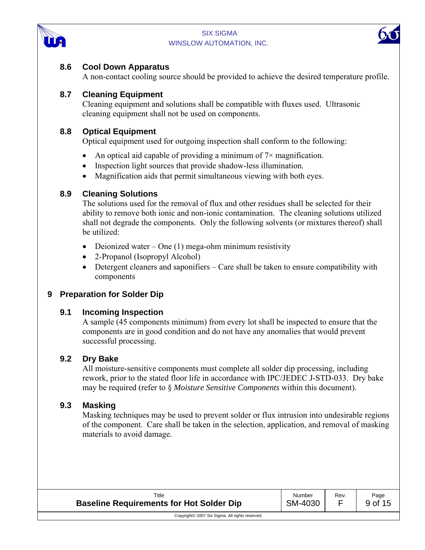



# **8.6 Cool Down Apparatus**

A non-contact cooling source should be provided to achieve the desired temperature profile.

# **8.7 Cleaning Equipment**

Cleaning equipment and solutions shall be compatible with fluxes used. Ultrasonic cleaning equipment shall not be used on components.

# **8.8 Optical Equipment**

Optical equipment used for outgoing inspection shall conform to the following:

- An optical aid capable of providing a minimum of  $7\times$  magnification.
- Inspection light sources that provide shadow-less illumination.
- Magnification aids that permit simultaneous viewing with both eyes.

# **8.9 Cleaning Solutions**

The solutions used for the removal of flux and other residues shall be selected for their ability to remove both ionic and non-ionic contamination. The cleaning solutions utilized shall not degrade the components. Only the following solvents (or mixtures thereof) shall be utilized:

- Deionized water One  $(1)$  mega-ohm minimum resistivity
- 2-Propanol (Isopropyl Alcohol)
- Detergent cleaners and saponifiers Care shall be taken to ensure compatibility with components

# **9 Preparation for Solder Dip**

# **9.1 Incoming Inspection**

A sample (45 components minimum) from every lot shall be inspected to ensure that the components are in good condition and do not have any anomalies that would prevent successful processing.

# **9.2 Dry Bake**

All moisture-sensitive components must complete all solder dip processing, including rework, prior to the stated floor life in accordance with IPC/JEDEC J-STD-033. Dry bake may be required (refer to § *Moisture Sensitive Components* within this document).

# **9.3 Masking**

Masking techniques may be used to prevent solder or flux intrusion into undesirable regions of the component. Care shall be taken in the selection, application, and removal of masking materials to avoid damage.

| Title                                           | Number  | Rev. | Page    |
|-------------------------------------------------|---------|------|---------|
| <b>Baseline Requirements for Hot Solder Dip</b> | SM-4030 |      | 9 of 15 |
| Copyright© 2007 Six Sigma. All rights reserved. |         |      |         |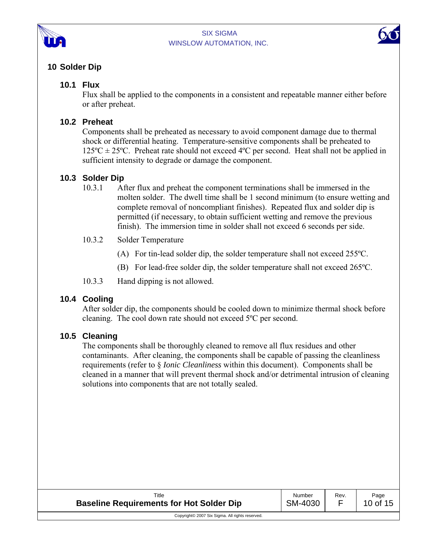



# **10 Solder Dip**

# **10.1 Flux**

Flux shall be applied to the components in a consistent and repeatable manner either before or after preheat.

# **10.2 Preheat**

Components shall be preheated as necessary to avoid component damage due to thermal shock or differential heating. Temperature-sensitive components shall be preheated to  $125^{\circ}C \pm 25^{\circ}C$ . Preheat rate should not exceed 4°C per second. Heat shall not be applied in sufficient intensity to degrade or damage the component.

# **10.3 Solder Dip**

- 10.3.1 After flux and preheat the component terminations shall be immersed in the molten solder. The dwell time shall be 1 second minimum (to ensure wetting and complete removal of noncompliant finishes). Repeated flux and solder dip is permitted (if necessary, to obtain sufficient wetting and remove the previous finish). The immersion time in solder shall not exceed 6 seconds per side.
- 10.3.2 Solder Temperature
	- (A) For tin-lead solder dip, the solder temperature shall not exceed 255ºC.
	- (B) For lead-free solder dip, the solder temperature shall not exceed 265ºC.
- 10.3.3 Hand dipping is not allowed.

# **10.4 Cooling**

After solder dip, the components should be cooled down to minimize thermal shock before cleaning. The cool down rate should not exceed 5ºC per second.

# **10.5 Cleaning**

The components shall be thoroughly cleaned to remove all flux residues and other contaminants. After cleaning, the components shall be capable of passing the cleanliness requirements (refer to § *Ionic Cleanliness* within this document). Components shall be cleaned in a manner that will prevent thermal shock and/or detrimental intrusion of cleaning solutions into components that are not totally sealed.

| Title<br><b>Baseline Requirements for Hot Solder Dip</b> | Number<br>SM-4030 | Rev. | Page<br>10 of 15 |
|----------------------------------------------------------|-------------------|------|------------------|
| Copyright© 2007 Six Sigma. All rights reserved.          |                   |      |                  |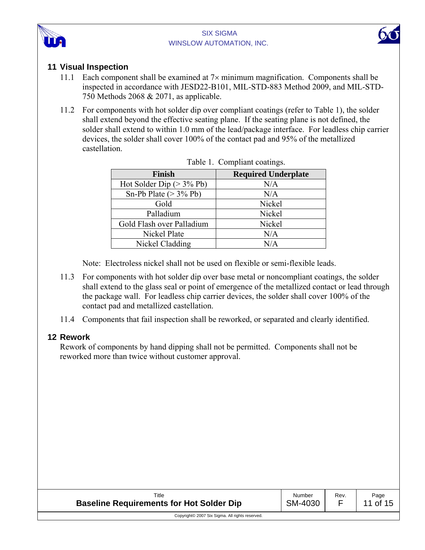



# **11 Visual Inspection**

- 11.1 Each component shall be examined at  $7\times$  minimum magnification. Components shall be inspected in accordance with JESD22-B101, MIL-STD-883 Method 2009, and MIL-STD-750 Methods 2068 & 2071, as applicable.
- 11.2 For components with hot solder dip over compliant coatings (refer to Table 1), the solder shall extend beyond the effective seating plane. If the seating plane is not defined, the solder shall extend to within 1.0 mm of the lead/package interface. For leadless chip carrier devices, the solder shall cover 100% of the contact pad and 95% of the metallized castellation.

| <b>Finish</b>              | <b>Required Underplate</b> |  |  |
|----------------------------|----------------------------|--|--|
| Hot Solder Dip $(>3\%$ Pb) | N/A                        |  |  |
| Sn-Pb Plate $(>3\%$ Pb)    | N/A                        |  |  |
| Gold                       | Nickel                     |  |  |
| Palladium                  | Nickel                     |  |  |
| Gold Flash over Palladium  | Nickel                     |  |  |
| Nickel Plate               | N/A                        |  |  |
| Nickel Cladding            | N/A                        |  |  |

Note: Electroless nickel shall not be used on flexible or semi-flexible leads.

- 11.3 For components with hot solder dip over base metal or noncompliant coatings, the solder shall extend to the glass seal or point of emergence of the metallized contact or lead through the package wall. For leadless chip carrier devices, the solder shall cover 100% of the contact pad and metallized castellation.
- 11.4 Components that fail inspection shall be reworked, or separated and clearly identified.

#### **12 Rework**

Rework of components by hand dipping shall not be permitted. Components shall not be reworked more than twice without customer approval.

| Title<br><b>Baseline Requirements for Hot Solder Dip</b> | Number<br>SM-4030 | Rev. | Page<br>11 of 15 |
|----------------------------------------------------------|-------------------|------|------------------|
| Copyright© 2007 Six Sigma. All rights reserved.          |                   |      |                  |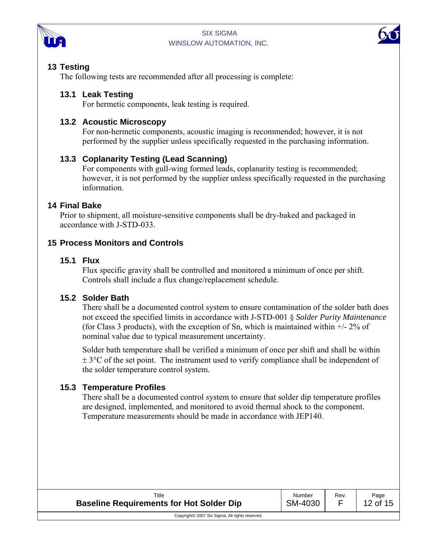



# **13 Testing**

The following tests are recommended after all processing is complete:

# **13.1 Leak Testing**

For hermetic components, leak testing is required.

# **13.2 Acoustic Microscopy**

For non-hermetic components, acoustic imaging is recommended; however, it is not performed by the supplier unless specifically requested in the purchasing information.

# **13.3 Coplanarity Testing (Lead Scanning)**

For components with gull-wing formed leads, coplanarity testing is recommended; however, it is not performed by the supplier unless specifically requested in the purchasing information.

# **14 Final Bake**

Prior to shipment, all moisture-sensitive components shall be dry-baked and packaged in accordance with J-STD-033.

# **15 Process Monitors and Controls**

#### **15.1 Flux**

Flux specific gravity shall be controlled and monitored a minimum of once per shift. Controls shall include a flux change/replacement schedule.

# **15.2 Solder Bath**

There shall be a documented control system to ensure contamination of the solder bath does not exceed the specified limits in accordance with J-STD-001 § *Solder Purity Maintenance*  (for Class 3 products), with the exception of Sn, which is maintained within +/- 2% of nominal value due to typical measurement uncertainty.

Solder bath temperature shall be verified a minimum of once per shift and shall be within  $\pm$  3 $\degree$ C of the set point. The instrument used to verify compliance shall be independent of the solder temperature control system.

# **15.3 Temperature Profiles**

There shall be a documented control system to ensure that solder dip temperature profiles are designed, implemented, and monitored to avoid thermal shock to the component. Temperature measurements should be made in accordance with JEP140.

| Title<br><b>Baseline Requirements for Hot Solder Dip</b> | Number<br>SM-4030 | Rev. | Page<br>12 of 15 |
|----------------------------------------------------------|-------------------|------|------------------|
| Copyright© 2007 Six Sigma. All rights reserved.          |                   |      |                  |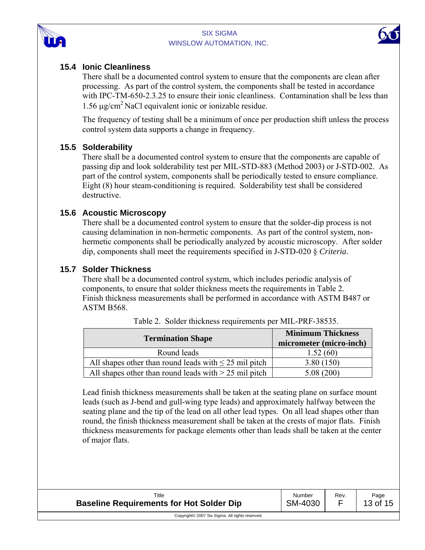



# **15.4 Ionic Cleanliness**

There shall be a documented control system to ensure that the components are clean after processing. As part of the control system, the components shall be tested in accordance with IPC-TM-650-2.3.25 to ensure their ionic cleanliness. Contamination shall be less than 1.56  $\mu$ g/cm<sup>2</sup> NaCl equivalent ionic or ionizable residue.

The frequency of testing shall be a minimum of once per production shift unless the process control system data supports a change in frequency.

#### **15.5 Solderability**

There shall be a documented control system to ensure that the components are capable of passing dip and look solderability test per MIL-STD-883 (Method 2003) or J-STD-002. As part of the control system, components shall be periodically tested to ensure compliance. Eight (8) hour steam-conditioning is required. Solderability test shall be considered destructive.

#### **15.6 Acoustic Microscopy**

There shall be a documented control system to ensure that the solder-dip process is not causing delamination in non-hermetic components. As part of the control system, nonhermetic components shall be periodically analyzed by acoustic microscopy. After solder dip, components shall meet the requirements specified in J-STD-020 § *Criteria*.

#### **15.7 Solder Thickness**

There shall be a documented control system, which includes periodic analysis of components, to ensure that solder thickness meets the requirements in Table 2. Finish thickness measurements shall be performed in accordance with ASTM B487 or ASTM B568.

| <b>Termination Shape</b>                                   | <b>Minimum Thickness</b><br>micrometer (micro-inch) |
|------------------------------------------------------------|-----------------------------------------------------|
| Round leads                                                | 1.52(60)                                            |
| All shapes other than round leads with $\leq 25$ mil pitch | 3.80(150)                                           |
| All shapes other than round leads with $> 25$ mil pitch    | 5.08(200)                                           |

Table 2. Solder thickness requirements per MIL-PRF-38535.

Lead finish thickness measurements shall be taken at the seating plane on surface mount leads (such as J-bend and gull-wing type leads) and approximately halfway between the seating plane and the tip of the lead on all other lead types. On all lead shapes other than round, the finish thickness measurement shall be taken at the crests of major flats. Finish thickness measurements for package elements other than leads shall be taken at the center of major flats.

| Title                                           | Number  | Rev. | Page     |
|-------------------------------------------------|---------|------|----------|
| <b>Baseline Requirements for Hot Solder Dip</b> | SM-4030 |      | 13 of 15 |
| Copyright© 2007 Six Sigma. All rights reserved. |         |      |          |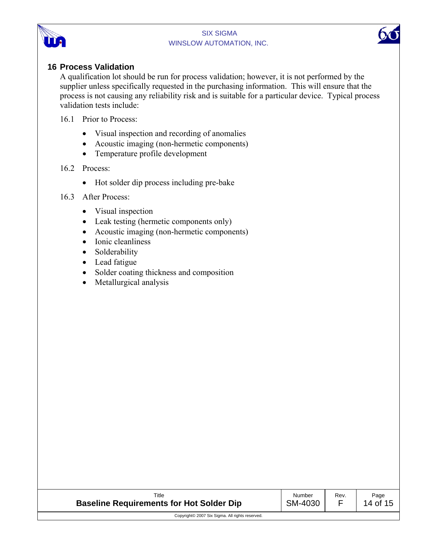



#### **16 Process Validation**

A qualification lot should be run for process validation; however, it is not performed by the supplier unless specifically requested in the purchasing information. This will ensure that the process is not causing any reliability risk and is suitable for a particular device. Typical process validation tests include:

- 16.1 Prior to Process:
	- Visual inspection and recording of anomalies
	- Acoustic imaging (non-hermetic components)
	- Temperature profile development

#### 16.2 Process:

• Hot solder dip process including pre-bake

#### 16.3 After Process:

- Visual inspection
- Leak testing (hermetic components only)
- Acoustic imaging (non-hermetic components)
- Ionic cleanliness
- Solderability
- Lead fatigue
- Solder coating thickness and composition
- Metallurgical analysis

| Title                                                       | Number  | Rev. | Page     |
|-------------------------------------------------------------|---------|------|----------|
| <b>Baseline Requirements for Hot Solder Dip</b>             | SM-4030 |      | 14 of 15 |
| Copyright <sup>©</sup> 2007 Six Sigma. All rights reserved. |         |      |          |